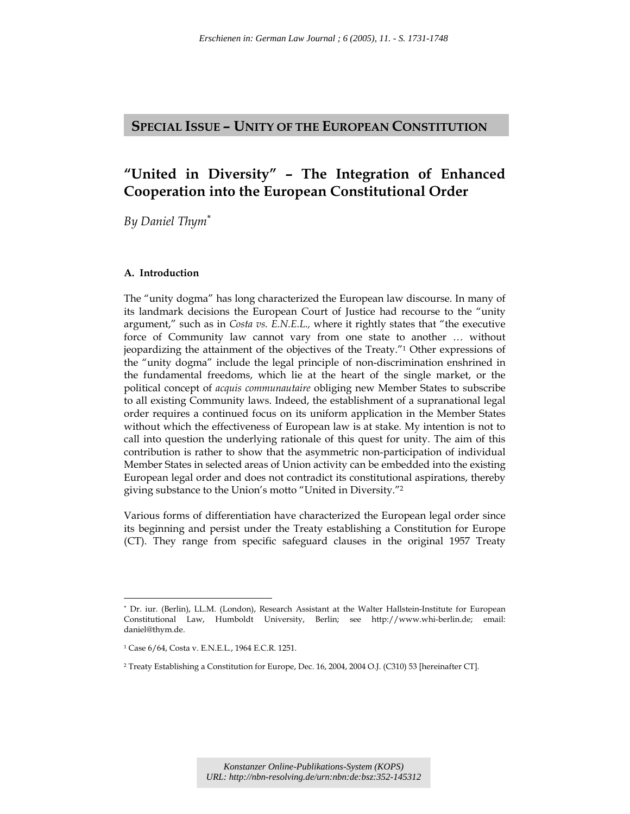# **SPECIAL ISSUE – UNITY OF THE EUROPEAN CONSTITUTION**

# **"United in Diversity" – The Integration of Enhanced Cooperation into the European Constitutional Order**

*By Daniel Thym*<sup>∗</sup>

### **A. Introduction**

The "unity dogma" has long characterized the European law discourse. In many of its landmark decisions the European Court of Justice had recourse to the "unity argument," such as in *Costa vs. E.N.E.L.,* where it rightly states that "the executive force of Community law cannot vary from one state to another … without jeopardizing the attainment of the objectives of the Treaty."1 Other expressions of the "unity dogma" include the legal principle of non-discrimination enshrined in the fundamental freedoms, which lie at the heart of the single market, or the political concept of *acquis communautaire* obliging new Member States to subscribe to all existing Community laws. Indeed, the establishment of a supranational legal order requires a continued focus on its uniform application in the Member States without which the effectiveness of European law is at stake. My intention is not to call into question the underlying rationale of this quest for unity. The aim of this contribution is rather to show that the asymmetric non-participation of individual Member States in selected areas of Union activity can be embedded into the existing European legal order and does not contradict its constitutional aspirations, thereby giving substance to the Union's motto "United in Diversity."2

Various forms of differentiation have characterized the European legal order since its beginning and persist under the Treaty establishing a Constitution for Europe (CT). They range from specific safeguard clauses in the original 1957 Treaty

<sup>∗</sup> Dr. iur. (Berlin), LL.M. (London), Research Assistant at the Walter Hallstein-Institute for European Constitutional Law, Humboldt University, Berlin; see http://www.whi-berlin.de; email: daniel@thym.de.

<sup>1</sup> Case 6/64, Costa v. E.N.E.L., 1964 E.C.R. 1251.

<sup>2</sup> Treaty Establishing a Constitution for Europe, Dec. 16, 2004, 2004 O.J. (C310) 53 [hereinafter CT].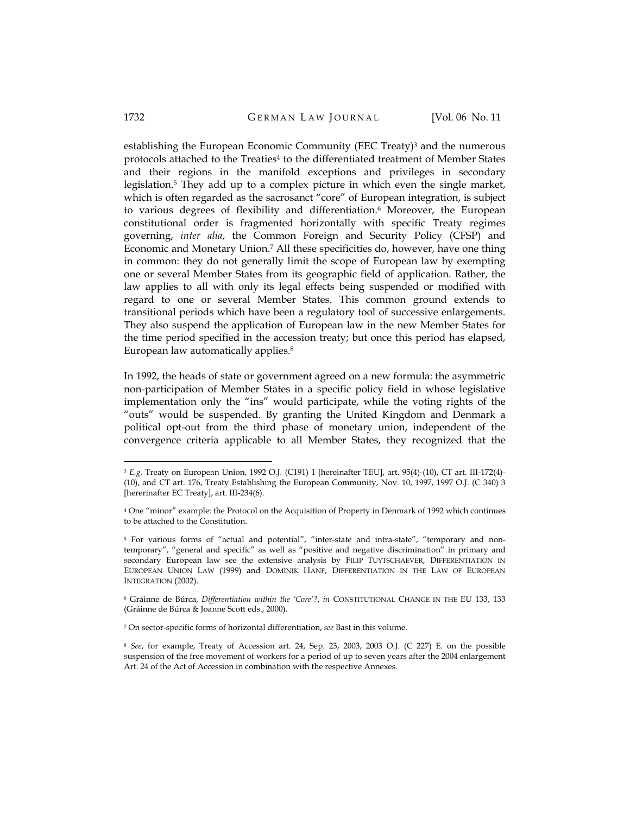establishing the European Economic Community (EEC Treaty)<sup>3</sup> and the numerous protocols attached to the Treaties<sup>4</sup> to the differentiated treatment of Member States and their regions in the manifold exceptions and privileges in secondary legislation.5 They add up to a complex picture in which even the single market, which is often regarded as the sacrosanct "core" of European integration, is subject to various degrees of flexibility and differentiation.6 Moreover, the European constitutional order is fragmented horizontally with specific Treaty regimes governing, *inter alia*, the Common Foreign and Security Policy (CFSP) and Economic and Monetary Union.7 All these specificities do, however, have one thing in common: they do not generally limit the scope of European law by exempting one or several Member States from its geographic field of application. Rather, the law applies to all with only its legal effects being suspended or modified with regard to one or several Member States. This common ground extends to transitional periods which have been a regulatory tool of successive enlargements. They also suspend the application of European law in the new Member States for the time period specified in the accession treaty; but once this period has elapsed, European law automatically applies.8

In 1992, the heads of state or government agreed on a new formula: the asymmetric non-participation of Member States in a specific policy field in whose legislative implementation only the "ins" would participate, while the voting rights of the "outs" would be suspended. By granting the United Kingdom and Denmark a political opt-out from the third phase of monetary union, independent of the convergence criteria applicable to all Member States, they recognized that the

<sup>3</sup> *E.g.* Treaty on European Union, 1992 O.J. (C191) 1 [hereinafter TEU], art. 95(4)-(10), CT art. III-172(4)- (10), and CT art. 176, Treaty Establishing the European Community, Nov. 10, 1997, 1997 O.J. (C 340) 3 [hererinafter EC Treaty], art. III-234(6).

<sup>4</sup> One "minor" example: the Protocol on the Acquisition of Property in Denmark of 1992 which continues to be attached to the Constitution.

<sup>5</sup> For various forms of "actual and potential", "inter-state and intra-state", "temporary and nontemporary", "general and specific" as well as "positive and negative discrimination" in primary and secondary European law see the extensive analysis by FILIP TUYTSCHAEVER, DIFFERENTIATION IN EUROPEAN UNION LAW (1999) and DOMINIK HANF, DIFFERENTIATION IN THE LAW OF EUROPEAN INTEGRATION (2002).

<sup>6</sup> Gráinne de Búrca, *Differentiation within the 'Core'?*, *in* CONSTITUTIONAL CHANGE IN THE EU 133, 133 (Gráinne de Búrca & Joanne Scott eds., 2000).

<sup>7</sup> On sector-specific forms of horizontal differentiation, *see* Bast in this volume.

<sup>8</sup> *See*, for example, Treaty of Accession art. 24, Sep. 23, 2003, 2003 O.J. (C 227) E. on the possible suspension of the free movement of workers for a period of up to seven years after the 2004 enlargement Art. 24 of the Act of Accession in combination with the respective Annexes.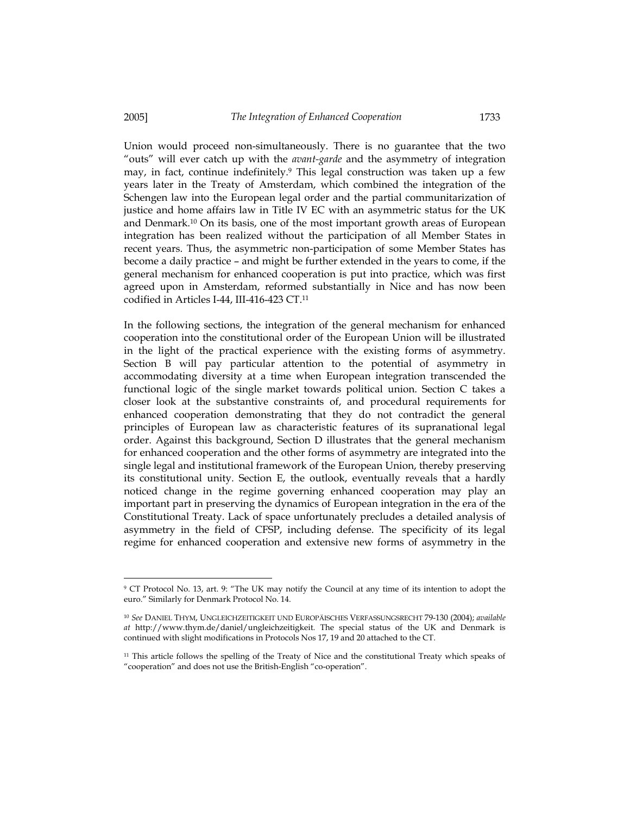Union would proceed non-simultaneously. There is no guarantee that the two "outs" will ever catch up with the *avant-garde* and the asymmetry of integration may, in fact, continue indefinitely.9 This legal construction was taken up a few years later in the Treaty of Amsterdam, which combined the integration of the Schengen law into the European legal order and the partial communitarization of justice and home affairs law in Title IV EC with an asymmetric status for the UK and Denmark.10 On its basis, one of the most important growth areas of European integration has been realized without the participation of all Member States in recent years. Thus, the asymmetric non-participation of some Member States has become a daily practice – and might be further extended in the years to come, if the general mechanism for enhanced cooperation is put into practice, which was first agreed upon in Amsterdam, reformed substantially in Nice and has now been codified in Articles I-44, III-416-423 CT.11

In the following sections, the integration of the general mechanism for enhanced cooperation into the constitutional order of the European Union will be illustrated in the light of the practical experience with the existing forms of asymmetry. Section B will pay particular attention to the potential of asymmetry in accommodating diversity at a time when European integration transcended the functional logic of the single market towards political union. Section C takes a closer look at the substantive constraints of, and procedural requirements for enhanced cooperation demonstrating that they do not contradict the general principles of European law as characteristic features of its supranational legal order. Against this background, Section D illustrates that the general mechanism for enhanced cooperation and the other forms of asymmetry are integrated into the single legal and institutional framework of the European Union, thereby preserving its constitutional unity. Section E, the outlook, eventually reveals that a hardly noticed change in the regime governing enhanced cooperation may play an important part in preserving the dynamics of European integration in the era of the Constitutional Treaty. Lack of space unfortunately precludes a detailed analysis of asymmetry in the field of CFSP, including defense. The specificity of its legal regime for enhanced cooperation and extensive new forms of asymmetry in the

<sup>9</sup> CT Protocol No. 13, art. 9: "The UK may notify the Council at any time of its intention to adopt the euro." Similarly for Denmark Protocol No. 14.

<sup>10</sup> *See* DANIEL THYM, UNGLEICHZEITIGKEIT UND EUROPÄISCHES VERFASSUNGSRECHT 79-130 (2004); *available at* http://www.thym.de/daniel/ungleichzeitigkeit. The special status of the UK and Denmark is continued with slight modifications in Protocols Nos 17, 19 and 20 attached to the CT.

<sup>&</sup>lt;sup>11</sup> This article follows the spelling of the Treaty of Nice and the constitutional Treaty which speaks of "cooperation" and does not use the British-English "co-operation".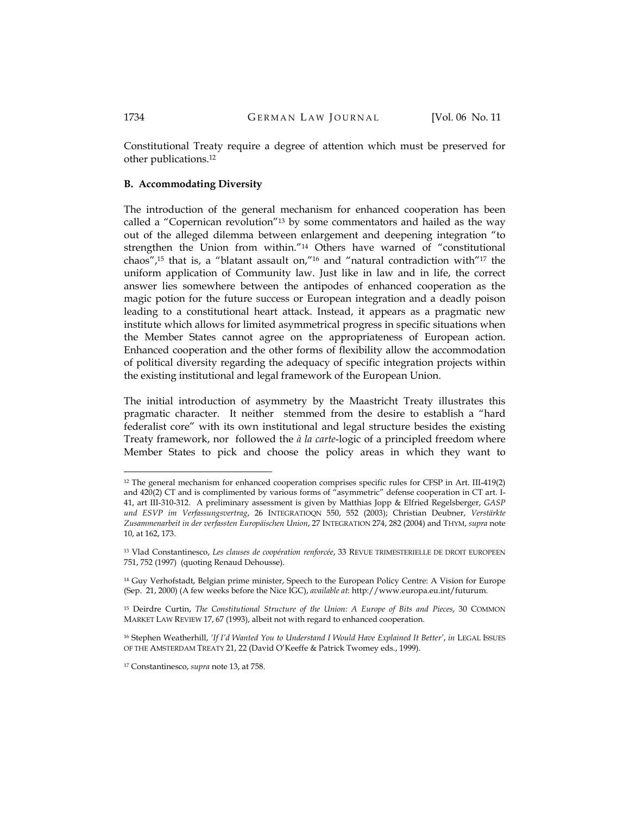Constitutional Treaty require a degree of attention which must be preserved for other publications.12

#### **B. Accommodating Diversity**

The introduction of the general mechanism for enhanced cooperation has been called a "Copernican revolution"13 by some commentators and hailed as the way out of the alleged dilemma between enlargement and deepening integration "to strengthen the Union from within."14 Others have warned of "constitutional chaos",15 that is, a "blatant assault on,"16 and "natural contradiction with"17 the uniform application of Community law. Just like in law and in life, the correct answer lies somewhere between the antipodes of enhanced cooperation as the magic potion for the future success or European integration and a deadly poison leading to a constitutional heart attack. Instead, it appears as a pragmatic new institute which allows for limited asymmetrical progress in specific situations when the Member States cannot agree on the appropriateness of European action. Enhanced cooperation and the other forms of flexibility allow the accommodation of political diversity regarding the adequacy of specific integration projects within the existing institutional and legal framework of the European Union.

The initial introduction of asymmetry by the Maastricht Treaty illustrates this pragmatic character. It neither stemmed from the desire to establish a "hard federalist core" with its own institutional and legal structure besides the existing Treaty framework, nor followed the *à la carte*-logic of a principled freedom where Member States to pick and choose the policy areas in which they want to

<sup>12</sup> The general mechanism for enhanced cooperation comprises specific rules for CFSP in Art. III-419(2) and 420(2) CT and is complimented by various forms of "asymmetric" defense cooperation in CT art. I-41, art III-310-312. A preliminary assessment is given by Matthias Jopp & Elfried Regelsberger, *GASP und ESVP im Verfassungsvertrag*, 26 INTEGRATIOQN 550, 552 (2003); Christian Deubner, *Verstärkte Zusammenarbeit in der verfassten Europäischen Union*, 27 INTEGRATION 274, 282 (2004) and THYM, *supra* note 10, at 162, 173.

<sup>13</sup> Vlad Constantinesco, *Les clauses de coopération renforcée*, 33 REVUE TRIMESTERIELLE DE DROIT EUROPEEN 751, 752 (1997) (quoting Renaud Dehousse).

<sup>14</sup> Guy Verhofstadt, Belgian prime minister, Speech to the European Policy Centre: A Vision for Europe (Sep. 21, 2000) (A few weeks before the Nice IGC), *available at*: http://www.europa.eu.int/futurum.

<sup>15</sup> Deirdre Curtin, *The Constitutional Structure of the Union: A Europe of Bits and Pieces*, 30 COMMON MARKET LAW REVIEW 17, 67 (1993), albeit not with regard to enhanced cooperation.

<sup>16</sup> Stephen Weatherhill, *'If I'd Wanted You to Understand I Would Have Explained It Better'*, *in* LEGAL ISSUES OF THE AMSTERDAM TREATY 21, 22 (David O'Keeffe & Patrick Twomey eds., 1999).

<sup>17</sup> Constantinesco, *supra* note 13, at 758.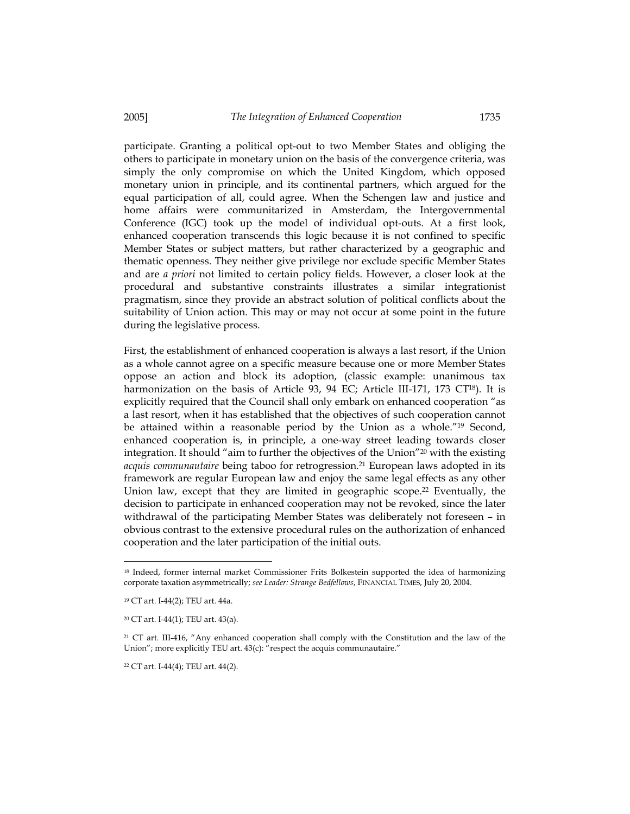2005] *The Integration of Enhanced Cooperation* 1735

participate. Granting a political opt-out to two Member States and obliging the others to participate in monetary union on the basis of the convergence criteria, was simply the only compromise on which the United Kingdom, which opposed monetary union in principle, and its continental partners, which argued for the equal participation of all, could agree. When the Schengen law and justice and home affairs were communitarized in Amsterdam, the Intergovernmental Conference (IGC) took up the model of individual opt-outs. At a first look, enhanced cooperation transcends this logic because it is not confined to specific Member States or subject matters, but rather characterized by a geographic and thematic openness. They neither give privilege nor exclude specific Member States and are *a priori* not limited to certain policy fields. However, a closer look at the procedural and substantive constraints illustrates a similar integrationist pragmatism, since they provide an abstract solution of political conflicts about the suitability of Union action. This may or may not occur at some point in the future during the legislative process.

First, the establishment of enhanced cooperation is always a last resort, if the Union as a whole cannot agree on a specific measure because one or more Member States oppose an action and block its adoption, (classic example: unanimous tax harmonization on the basis of Article 93, 94 EC; Article III-171, 173 CT<sup>18</sup>). It is explicitly required that the Council shall only embark on enhanced cooperation "as a last resort, when it has established that the objectives of such cooperation cannot be attained within a reasonable period by the Union as a whole."19 Second, enhanced cooperation is, in principle, a one-way street leading towards closer integration. It should "aim to further the objectives of the Union"20 with the existing *acquis communautaire* being taboo for retrogression.21 European laws adopted in its framework are regular European law and enjoy the same legal effects as any other Union law, except that they are limited in geographic scope.<sup>22</sup> Eventually, the decision to participate in enhanced cooperation may not be revoked, since the later withdrawal of the participating Member States was deliberately not foreseen – in obvious contrast to the extensive procedural rules on the authorization of enhanced cooperation and the later participation of the initial outs.

<sup>&</sup>lt;sup>18</sup> Indeed, former internal market Commissioner Frits Bolkestein supported the idea of harmonizing corporate taxation asymmetrically; *see Leader: Strange Bedfellows*, FINANCIAL TIMES, July 20, 2004.

<sup>19</sup> CT art. I-44(2); TEU art. 44a.

<sup>20</sup> CT art. I-44(1); TEU art. 43(a).

<sup>21</sup> CT art. III-416, "Any enhanced cooperation shall comply with the Constitution and the law of the Union"; more explicitly TEU art. 43(c): "respect the acquis communautaire."

<sup>22</sup> CT art. I-44(4); TEU art. 44(2).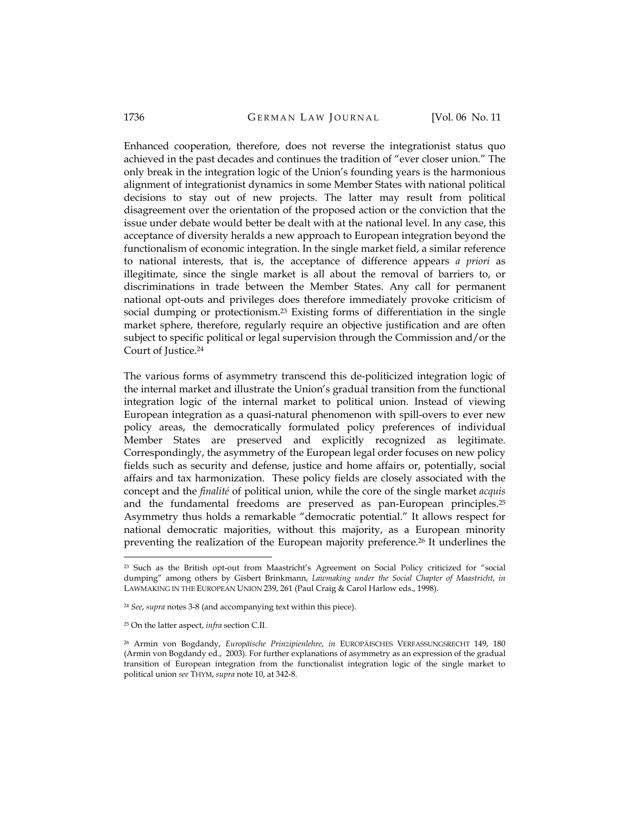Enhanced cooperation, therefore, does not reverse the integrationist status quo achieved in the past decades and continues the tradition of "ever closer union." The only break in the integration logic of the Union's founding years is the harmonious alignment of integrationist dynamics in some Member States with national political decisions to stay out of new projects. The latter may result from political disagreement over the orientation of the proposed action or the conviction that the issue under debate would better be dealt with at the national level. In any case, this acceptance of diversity heralds a new approach to European integration beyond the functionalism of economic integration. In the single market field, a similar reference to national interests, that is, the acceptance of difference appears *a priori* as illegitimate, since the single market is all about the removal of barriers to, or discriminations in trade between the Member States. Any call for permanent national opt-outs and privileges does therefore immediately provoke criticism of social dumping or protectionism.23 Existing forms of differentiation in the single market sphere, therefore, regularly require an objective justification and are often subject to specific political or legal supervision through the Commission and/or the Court of Justice.24

The various forms of asymmetry transcend this de-politicized integration logic of the internal market and illustrate the Union's gradual transition from the functional integration logic of the internal market to political union. Instead of viewing European integration as a quasi-natural phenomenon with spill-overs to ever new policy areas, the democratically formulated policy preferences of individual Member States are preserved and explicitly recognized as legitimate. Correspondingly, the asymmetry of the European legal order focuses on new policy fields such as security and defense, justice and home affairs or, potentially, social affairs and tax harmonization. These policy fields are closely associated with the concept and the *finalité* of political union, while the core of the single market *acquis* and the fundamental freedoms are preserved as pan-European principles.25 Asymmetry thus holds a remarkable "democratic potential." It allows respect for national democratic majorities, without this majority, as a European minority preventing the realization of the European majority preference.26 It underlines the

<sup>23</sup> Such as the British opt-out from Maastricht's Agreement on Social Policy criticized for "social dumping" among others by Gisbert Brinkmann, *Lawmaking under the Social Chapter of Maastricht*, *in* LAWMAKING IN THE EUROPEAN UNION 239, 261 (Paul Craig & Carol Harlow eds., 1998).

<sup>24</sup> *See*, *supra* notes 3-8 (and accompanying text within this piece).

<sup>25</sup> On the latter aspect, *infra* section C.II.

<sup>26</sup> Armin von Bogdandy, *Europäische Prinzipienlehre*, *in* EUROPÄISCHES VERFASSUNGSRECHT 149, 180 (Armin von Bogdandy ed., 2003). For further explanations of asymmetry as an expression of the gradual transition of European integration from the functionalist integration logic of the single market to political union *see* THYM, *supra* note 10, at 342-8.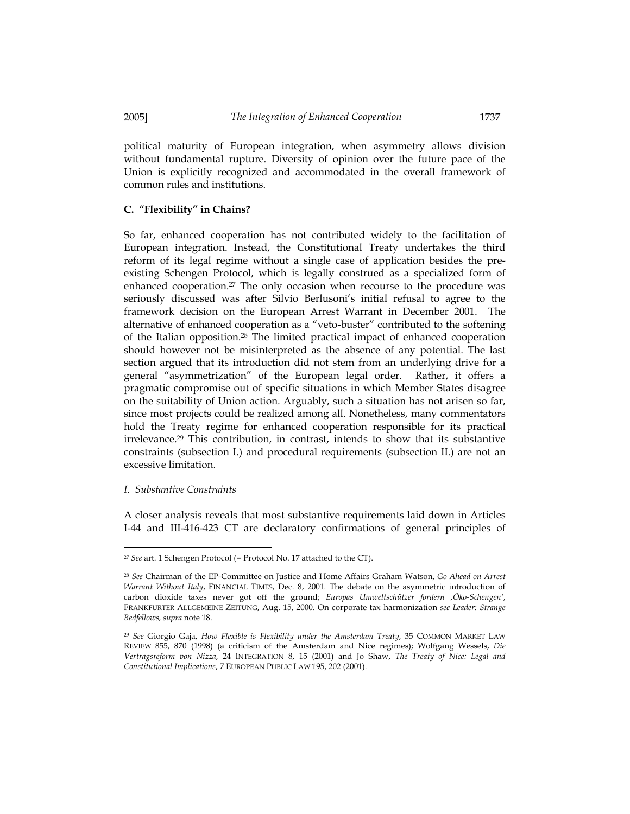political maturity of European integration, when asymmetry allows division without fundamental rupture. Diversity of opinion over the future pace of the Union is explicitly recognized and accommodated in the overall framework of common rules and institutions.

# **C. "Flexibility" in Chains?**

So far, enhanced cooperation has not contributed widely to the facilitation of European integration. Instead, the Constitutional Treaty undertakes the third reform of its legal regime without a single case of application besides the preexisting Schengen Protocol, which is legally construed as a specialized form of enhanced cooperation.27 The only occasion when recourse to the procedure was seriously discussed was after Silvio Berlusoni's initial refusal to agree to the framework decision on the European Arrest Warrant in December 2001. The alternative of enhanced cooperation as a "veto-buster" contributed to the softening of the Italian opposition.28 The limited practical impact of enhanced cooperation should however not be misinterpreted as the absence of any potential. The last section argued that its introduction did not stem from an underlying drive for a general "asymmetrization" of the European legal order. Rather, it offers a pragmatic compromise out of specific situations in which Member States disagree on the suitability of Union action. Arguably, such a situation has not arisen so far, since most projects could be realized among all. Nonetheless, many commentators hold the Treaty regime for enhanced cooperation responsible for its practical irrelevance.29 This contribution, in contrast, intends to show that its substantive constraints (subsection I.) and procedural requirements (subsection II.) are not an excessive limitation.

#### *I. Substantive Constraints*

 $\overline{a}$ 

A closer analysis reveals that most substantive requirements laid down in Articles I-44 and III-416-423 CT are declaratory confirmations of general principles of

<sup>27</sup> *See* art. 1 Schengen Protocol (= Protocol No. 17 attached to the CT).

<sup>28</sup> *See* Chairman of the EP-Committee on Justice and Home Affairs Graham Watson, *Go Ahead on Arrest Warrant Without Italy*, FINANCIAL TIMES, Dec. 8, 2001. The debate on the asymmetric introduction of carbon dioxide taxes never got off the ground; *Europas Umweltschützer fordern 'Öko-Schengen'*, FRANKFURTER ALLGEMEINE ZEITUNG, Aug. 15, 2000. On corporate tax harmonization *see Leader: Strange Bedfellows, supra* note 18.

<sup>29</sup> *See* Giorgio Gaja, *How Flexible is Flexibility under the Amsterdam Treaty*, 35 COMMON MARKET LAW REVIEW 855, 870 (1998) (a criticism of the Amsterdam and Nice regimes); Wolfgang Wessels, *Die Vertragsreform von Nizza*, 24 INTEGRATION 8, 15 (2001) and Jo Shaw, *The Treaty of Nice: Legal and Constitutional Implications*, 7 EUROPEAN PUBLIC LAW 195, 202 (2001).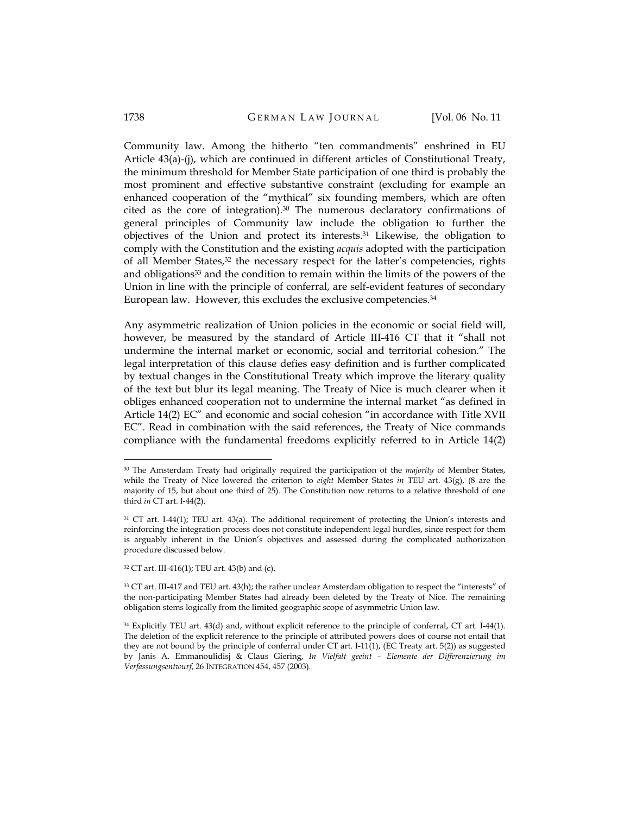Community law. Among the hitherto "ten commandments" enshrined in EU Article 43(a)-(j), which are continued in different articles of Constitutional Treaty, the minimum threshold for Member State participation of one third is probably the most prominent and effective substantive constraint (excluding for example an enhanced cooperation of the "mythical" six founding members, which are often cited as the core of integration).30 The numerous declaratory confirmations of general principles of Community law include the obligation to further the objectives of the Union and protect its interests.31 Likewise, the obligation to comply with the Constitution and the existing *acquis* adopted with the participation of all Member States,<sup>32</sup> the necessary respect for the latter's competencies, rights and obligations33 and the condition to remain within the limits of the powers of the Union in line with the principle of conferral, are self-evident features of secondary European law. However, this excludes the exclusive competencies.34

Any asymmetric realization of Union policies in the economic or social field will, however, be measured by the standard of Article III-416 CT that it "shall not undermine the internal market or economic, social and territorial cohesion." The legal interpretation of this clause defies easy definition and is further complicated by textual changes in the Constitutional Treaty which improve the literary quality of the text but blur its legal meaning. The Treaty of Nice is much clearer when it obliges enhanced cooperation not to undermine the internal market "as defined in Article 14(2) EC" and economic and social cohesion "in accordance with Title XVII EC". Read in combination with the said references, the Treaty of Nice commands compliance with the fundamental freedoms explicitly referred to in Article 14(2)

<sup>30</sup> The Amsterdam Treaty had originally required the participation of the *majority* of Member States, while the Treaty of Nice lowered the criterion to *eight* Member States *in* TEU art. 43(g), (8 are the majority of 15, but about one third of 25). The Constitution now returns to a relative threshold of one third *in* CT art. I-44(2).

<sup>31</sup> CT art. I-44(1); TEU art. 43(a). The additional requirement of protecting the Union's interests and reinforcing the integration process does not constitute independent legal hurdles, since respect for them is arguably inherent in the Union's objectives and assessed during the complicated authorization procedure discussed below.

<sup>32</sup> CT art. III-416(1); TEU art. 43(b) and (c).

<sup>&</sup>lt;sup>33</sup> CT art. III-417 and TEU art. 43(h); the rather unclear Amsterdam obligation to respect the "interests" of the non-participating Member States had already been deleted by the Treaty of Nice. The remaining obligation stems logically from the limited geographic scope of asymmetric Union law.

<sup>34</sup> Explicitly TEU art. 43(d) and, without explicit reference to the principle of conferral, CT art. I-44(1). The deletion of the explicit reference to the principle of attributed powers does of course not entail that they are not bound by the principle of conferral under CT art. I-11(1), (EC Treaty art. 5(2)) as suggested by Janis A. Emmanoulidisj & Claus Giering, *In Vielfalt geeint – Elemente der Differenzierung im Verfassungsentwurf*, 26 INTEGRATION 454, 457 (2003).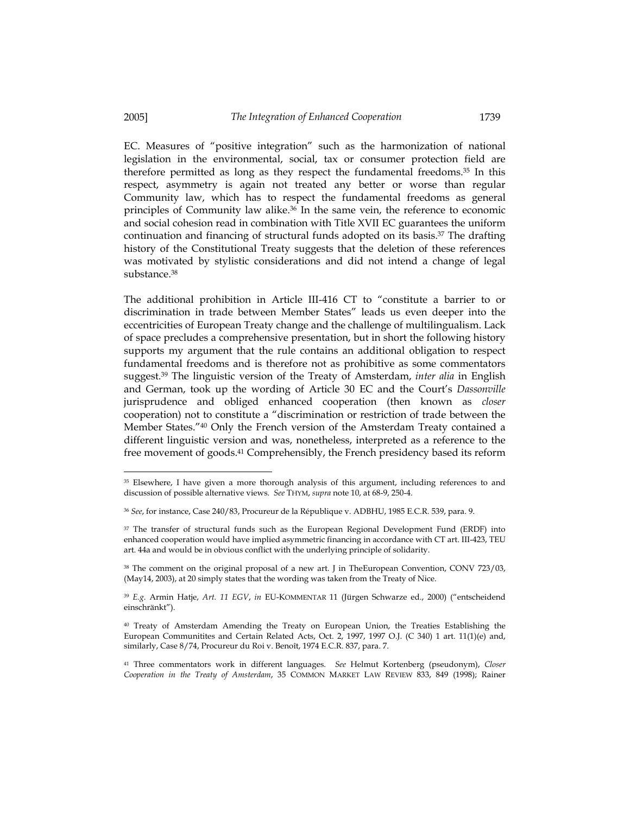#### 2005] *The Integration of Enhanced Cooperation* 1739

EC. Measures of "positive integration" such as the harmonization of national legislation in the environmental, social, tax or consumer protection field are therefore permitted as long as they respect the fundamental freedoms.35 In this respect, asymmetry is again not treated any better or worse than regular Community law, which has to respect the fundamental freedoms as general principles of Community law alike.36 In the same vein, the reference to economic and social cohesion read in combination with Title XVII EC guarantees the uniform continuation and financing of structural funds adopted on its basis.37 The drafting history of the Constitutional Treaty suggests that the deletion of these references was motivated by stylistic considerations and did not intend a change of legal substance.38

The additional prohibition in Article III-416 CT to "constitute a barrier to or discrimination in trade between Member States" leads us even deeper into the eccentricities of European Treaty change and the challenge of multilingualism. Lack of space precludes a comprehensive presentation, but in short the following history supports my argument that the rule contains an additional obligation to respect fundamental freedoms and is therefore not as prohibitive as some commentators suggest.39 The linguistic version of the Treaty of Amsterdam, *inter alia* in English and German, took up the wording of Article 30 EC and the Court's *Dassonville* jurisprudence and obliged enhanced cooperation (then known as *closer*  cooperation) not to constitute a "discrimination or restriction of trade between the Member States."40 Only the French version of the Amsterdam Treaty contained a different linguistic version and was, nonetheless, interpreted as a reference to the free movement of goods.<sup>41</sup> Comprehensibly, the French presidency based its reform

<sup>&</sup>lt;sup>35</sup> Elsewhere, I have given a more thorough analysis of this argument, including references to and discussion of possible alternative views. *See* THYM, *supra* note 10, at 68-9, 250-4.

<sup>36</sup> *See*, for instance, Case 240/83, Procureur de la République v. ADBHU, 1985 E.C.R. 539, para. 9.

<sup>&</sup>lt;sup>37</sup> The transfer of structural funds such as the European Regional Development Fund (ERDF) into enhanced cooperation would have implied asymmetric financing in accordance with CT art. III-423, TEU art. 44a and would be in obvious conflict with the underlying principle of solidarity.

<sup>38</sup> The comment on the original proposal of a new art. J in TheEuropean Convention, CONV 723/03, (May14, 2003), at 20 simply states that the wording was taken from the Treaty of Nice.

<sup>39</sup> *E.g.* Armin Hatje, *Art. 11 EGV*, *in* EU-KOMMENTAR 11 (Jürgen Schwarze ed., 2000) ("entscheidend einschränkt").

<sup>40</sup> Treaty of Amsterdam Amending the Treaty on European Union, the Treaties Establishing the European Communitites and Certain Related Acts, Oct. 2, 1997, 1997 O.J. (C 340) 1 art. 11(1)(e) and, similarly, Case 8/74, Procureur du Roi v. Benoît, 1974 E.C.R. 837, para. 7.

<sup>41</sup> Three commentators work in different languages. *See* Helmut Kortenberg (pseudonym), *Closer Cooperation in the Treaty of Amsterdam*, 35 COMMON MARKET LAW REVIEW 833, 849 (1998); Rainer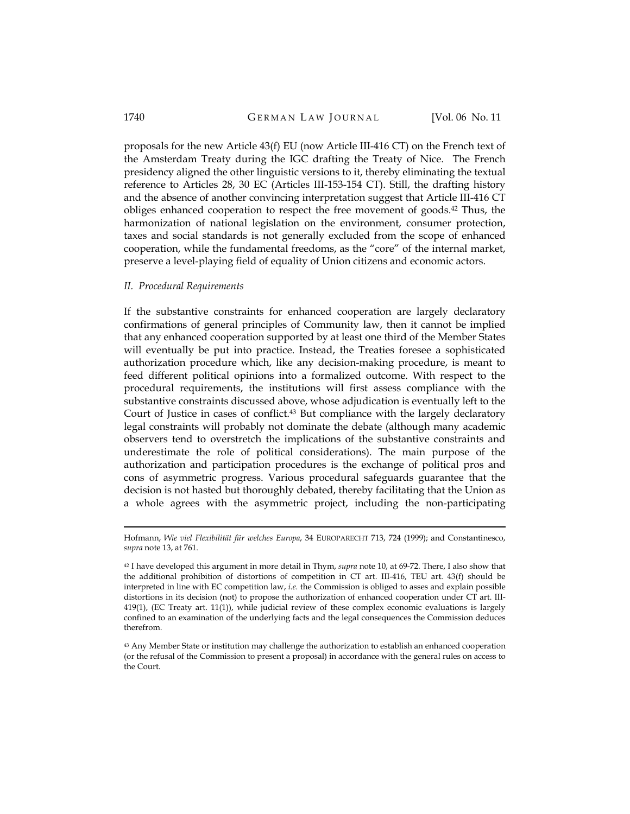proposals for the new Article 43(f) EU (now Article III-416 CT) on the French text of the Amsterdam Treaty during the IGC drafting the Treaty of Nice. The French presidency aligned the other linguistic versions to it, thereby eliminating the textual reference to Articles 28, 30 EC (Articles III-153-154 CT). Still, the drafting history and the absence of another convincing interpretation suggest that Article III-416 CT obliges enhanced cooperation to respect the free movement of goods.42 Thus, the harmonization of national legislation on the environment, consumer protection, taxes and social standards is not generally excluded from the scope of enhanced cooperation, while the fundamental freedoms, as the "core" of the internal market, preserve a level-playing field of equality of Union citizens and economic actors.

#### *II. Procedural Requirements*

If the substantive constraints for enhanced cooperation are largely declaratory confirmations of general principles of Community law, then it cannot be implied that any enhanced cooperation supported by at least one third of the Member States will eventually be put into practice. Instead, the Treaties foresee a sophisticated authorization procedure which, like any decision-making procedure, is meant to feed different political opinions into a formalized outcome. With respect to the procedural requirements, the institutions will first assess compliance with the substantive constraints discussed above, whose adjudication is eventually left to the Court of Justice in cases of conflict.43 But compliance with the largely declaratory legal constraints will probably not dominate the debate (although many academic observers tend to overstretch the implications of the substantive constraints and underestimate the role of political considerations). The main purpose of the authorization and participation procedures is the exchange of political pros and cons of asymmetric progress. Various procedural safeguards guarantee that the decision is not hasted but thoroughly debated, thereby facilitating that the Union as a whole agrees with the asymmetric project, including the non-participating

Hofmann, *Wie viel Flexibilität für welches Europa*, 34 EUROPARECHT 713, 724 (1999); and Constantinesco, *supra* note 13, at 761.

<sup>42</sup> I have developed this argument in more detail in Thym, *supra* note 10, at 69-72. There, I also show that the additional prohibition of distortions of competition in CT art. III-416, TEU art. 43(f) should be interpreted in line with EC competition law, *i.e.* the Commission is obliged to asses and explain possible distortions in its decision (not) to propose the authorization of enhanced cooperation under CT art. III-419(1), (EC Treaty art. 11(1)), while judicial review of these complex economic evaluations is largely confined to an examination of the underlying facts and the legal consequences the Commission deduces therefrom.

<sup>&</sup>lt;sup>43</sup> Any Member State or institution may challenge the authorization to establish an enhanced cooperation (or the refusal of the Commission to present a proposal) in accordance with the general rules on access to the Court.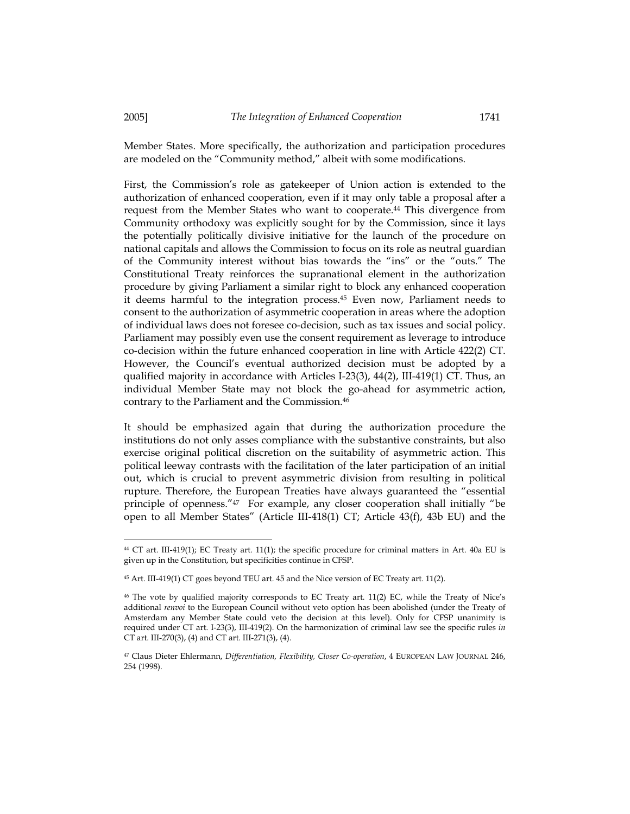Member States. More specifically, the authorization and participation procedures are modeled on the "Community method," albeit with some modifications.

First, the Commission's role as gatekeeper of Union action is extended to the authorization of enhanced cooperation, even if it may only table a proposal after a request from the Member States who want to cooperate.<sup>44</sup> This divergence from Community orthodoxy was explicitly sought for by the Commission, since it lays the potentially politically divisive initiative for the launch of the procedure on national capitals and allows the Commission to focus on its role as neutral guardian of the Community interest without bias towards the "ins" or the "outs." The Constitutional Treaty reinforces the supranational element in the authorization procedure by giving Parliament a similar right to block any enhanced cooperation it deems harmful to the integration process.45 Even now, Parliament needs to consent to the authorization of asymmetric cooperation in areas where the adoption of individual laws does not foresee co-decision, such as tax issues and social policy. Parliament may possibly even use the consent requirement as leverage to introduce co-decision within the future enhanced cooperation in line with Article 422(2) CT. However, the Council's eventual authorized decision must be adopted by a qualified majority in accordance with Articles I-23(3), 44(2), III-419(1) CT. Thus, an individual Member State may not block the go-ahead for asymmetric action, contrary to the Parliament and the Commission.46

It should be emphasized again that during the authorization procedure the institutions do not only asses compliance with the substantive constraints, but also exercise original political discretion on the suitability of asymmetric action. This political leeway contrasts with the facilitation of the later participation of an initial out, which is crucial to prevent asymmetric division from resulting in political rupture. Therefore, the European Treaties have always guaranteed the "essential principle of openness."47 For example, any closer cooperation shall initially "be open to all Member States" (Article III-418(1) CT; Article 43(f), 43b EU) and the

<sup>44</sup> CT art. III-419(1); EC Treaty art. 11(1); the specific procedure for criminal matters in Art. 40a EU is given up in the Constitution, but specificities continue in CFSP.

<sup>45</sup> Art. III-419(1) CT goes beyond TEU art. 45 and the Nice version of EC Treaty art. 11(2).

<sup>46</sup> The vote by qualified majority corresponds to EC Treaty art. 11(2) EC, while the Treaty of Nice's additional *renvoi* to the European Council without veto option has been abolished (under the Treaty of Amsterdam any Member State could veto the decision at this level). Only for CFSP unanimity is required under CT art. I-23(3), III-419(2). On the harmonization of criminal law see the specific rules *in* CT art. III-270(3), (4) and CT art. III-271(3), (4).

<sup>47</sup> Claus Dieter Ehlermann, *Differentiation, Flexibility, Closer Co-operation*, 4 EUROPEAN LAW JOURNAL 246, 254 (1998).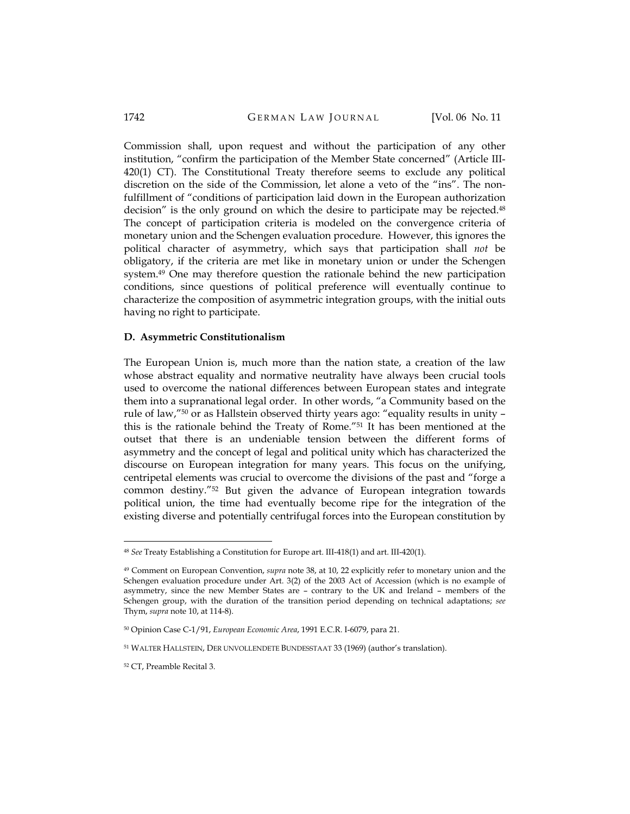Commission shall, upon request and without the participation of any other institution, "confirm the participation of the Member State concerned" (Article III-420(1) CT). The Constitutional Treaty therefore seems to exclude any political discretion on the side of the Commission, let alone a veto of the "ins". The nonfulfillment of "conditions of participation laid down in the European authorization decision" is the only ground on which the desire to participate may be rejected.<sup>48</sup> The concept of participation criteria is modeled on the convergence criteria of monetary union and the Schengen evaluation procedure. However, this ignores the political character of asymmetry, which says that participation shall *not* be obligatory, if the criteria are met like in monetary union or under the Schengen system.49 One may therefore question the rationale behind the new participation conditions, since questions of political preference will eventually continue to characterize the composition of asymmetric integration groups, with the initial outs having no right to participate.

#### **D. Asymmetric Constitutionalism**

The European Union is, much more than the nation state, a creation of the law whose abstract equality and normative neutrality have always been crucial tools used to overcome the national differences between European states and integrate them into a supranational legal order. In other words, "a Community based on the rule of law,"50 or as Hallstein observed thirty years ago: "equality results in unity – this is the rationale behind the Treaty of Rome."51 It has been mentioned at the outset that there is an undeniable tension between the different forms of asymmetry and the concept of legal and political unity which has characterized the discourse on European integration for many years. This focus on the unifying, centripetal elements was crucial to overcome the divisions of the past and "forge a common destiny."52 But given the advance of European integration towards political union, the time had eventually become ripe for the integration of the existing diverse and potentially centrifugal forces into the European constitution by

<sup>48</sup> *See* Treaty Establishing a Constitution for Europe art. III-418(1) and art. III-420(1).

<sup>49</sup> Comment on European Convention, *supra* note 38, at 10, 22 explicitly refer to monetary union and the Schengen evaluation procedure under Art. 3(2) of the 2003 Act of Accession (which is no example of asymmetry, since the new Member States are – contrary to the UK and Ireland – members of the Schengen group, with the duration of the transition period depending on technical adaptations; *see* Thym, *supra* note 10, at 114-8).

<sup>50</sup> Opinion Case C-1/91, *European Economic Area*, 1991 E.C.R. I-6079, para 21.

<sup>51</sup> WALTER HALLSTEIN, DER UNVOLLENDETE BUNDESSTAAT 33 (1969) (author's translation).

<sup>52</sup> CT, Preamble Recital 3.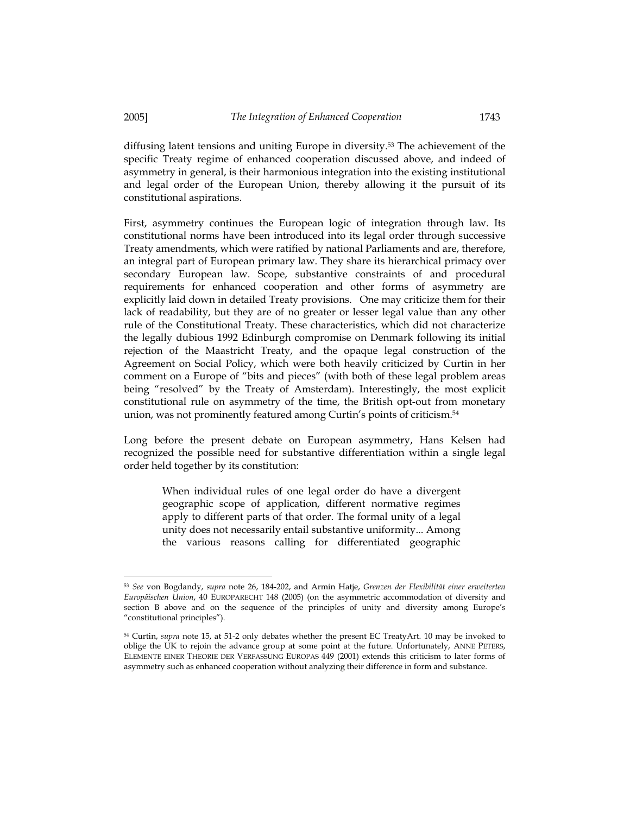diffusing latent tensions and uniting Europe in diversity.53 The achievement of the specific Treaty regime of enhanced cooperation discussed above, and indeed of asymmetry in general, is their harmonious integration into the existing institutional and legal order of the European Union, thereby allowing it the pursuit of its constitutional aspirations.

First, asymmetry continues the European logic of integration through law. Its constitutional norms have been introduced into its legal order through successive Treaty amendments, which were ratified by national Parliaments and are, therefore, an integral part of European primary law. They share its hierarchical primacy over secondary European law. Scope, substantive constraints of and procedural requirements for enhanced cooperation and other forms of asymmetry are explicitly laid down in detailed Treaty provisions. One may criticize them for their lack of readability, but they are of no greater or lesser legal value than any other rule of the Constitutional Treaty. These characteristics, which did not characterize the legally dubious 1992 Edinburgh compromise on Denmark following its initial rejection of the Maastricht Treaty, and the opaque legal construction of the Agreement on Social Policy, which were both heavily criticized by Curtin in her comment on a Europe of "bits and pieces" (with both of these legal problem areas being "resolved" by the Treaty of Amsterdam). Interestingly, the most explicit constitutional rule on asymmetry of the time, the British opt-out from monetary union, was not prominently featured among Curtin's points of criticism.54

Long before the present debate on European asymmetry, Hans Kelsen had recognized the possible need for substantive differentiation within a single legal order held together by its constitution:

When individual rules of one legal order do have a divergent geographic scope of application, different normative regimes apply to different parts of that order. The formal unity of a legal unity does not necessarily entail substantive uniformity... Among the various reasons calling for differentiated geographic

<sup>53</sup> *See* von Bogdandy, *supra* note 26, 184-202, and Armin Hatje, *Grenzen der Flexibilität einer erweiterten Europäischen Union*, 40 EUROPARECHT 148 (2005) (on the asymmetric accommodation of diversity and section B above and on the sequence of the principles of unity and diversity among Europe's "constitutional principles").

<sup>54</sup> Curtin, *supra* note 15, at 51-2 only debates whether the present EC TreatyArt. 10 may be invoked to oblige the UK to rejoin the advance group at some point at the future. Unfortunately, ANNE PETERS, ELEMENTE EINER THEORIE DER VERFASSUNG EUROPAS 449 (2001) extends this criticism to later forms of asymmetry such as enhanced cooperation without analyzing their difference in form and substance.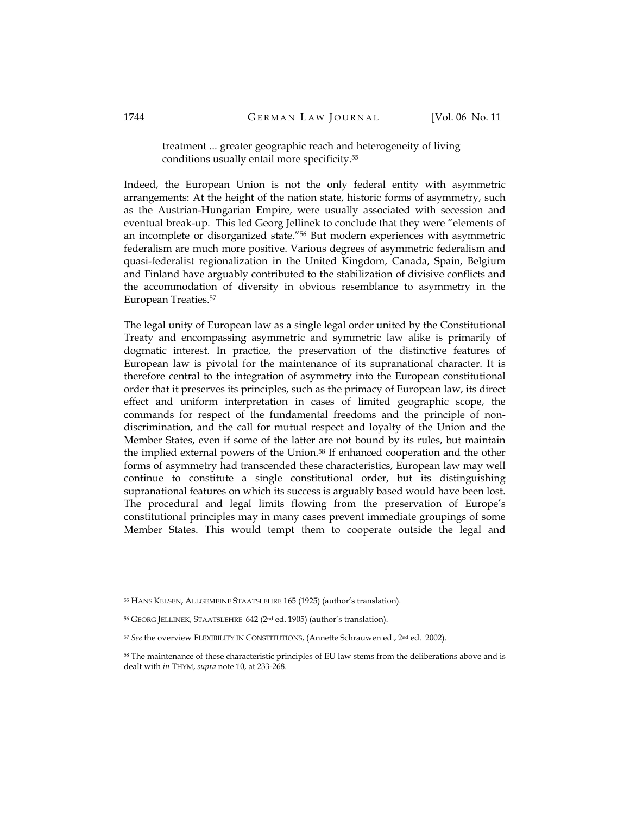treatment ... greater geographic reach and heterogeneity of living conditions usually entail more specificity.55

Indeed, the European Union is not the only federal entity with asymmetric arrangements: At the height of the nation state, historic forms of asymmetry, such as the Austrian-Hungarian Empire, were usually associated with secession and eventual break-up. This led Georg Jellinek to conclude that they were "elements of an incomplete or disorganized state."56 But modern experiences with asymmetric federalism are much more positive. Various degrees of asymmetric federalism and quasi-federalist regionalization in the United Kingdom, Canada, Spain, Belgium and Finland have arguably contributed to the stabilization of divisive conflicts and the accommodation of diversity in obvious resemblance to asymmetry in the European Treaties.57

The legal unity of European law as a single legal order united by the Constitutional Treaty and encompassing asymmetric and symmetric law alike is primarily of dogmatic interest. In practice, the preservation of the distinctive features of European law is pivotal for the maintenance of its supranational character. It is therefore central to the integration of asymmetry into the European constitutional order that it preserves its principles, such as the primacy of European law, its direct effect and uniform interpretation in cases of limited geographic scope, the commands for respect of the fundamental freedoms and the principle of nondiscrimination, and the call for mutual respect and loyalty of the Union and the Member States, even if some of the latter are not bound by its rules, but maintain the implied external powers of the Union.<sup>58</sup> If enhanced cooperation and the other forms of asymmetry had transcended these characteristics, European law may well continue to constitute a single constitutional order, but its distinguishing supranational features on which its success is arguably based would have been lost. The procedural and legal limits flowing from the preservation of Europe's constitutional principles may in many cases prevent immediate groupings of some Member States. This would tempt them to cooperate outside the legal and

<sup>55</sup> HANS KELSEN, ALLGEMEINE STAATSLEHRE 165 (1925) (author's translation).

<sup>56</sup> GEORG JELLINEK, STAATSLEHRE 642 (2nd ed. 1905) (author's translation).

<sup>57</sup> *See* the overview FLEXIBILITY IN CONSTITUTIONS, (Annette Schrauwen ed., 2nd ed. 2002).

<sup>58</sup> The maintenance of these characteristic principles of EU law stems from the deliberations above and is dealt with *in* THYM, *supra* note 10, at 233-268.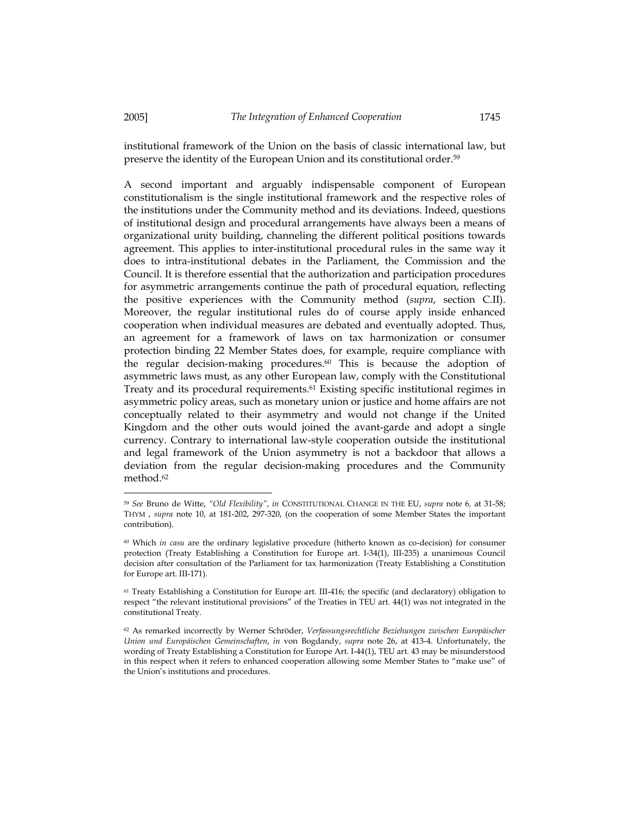institutional framework of the Union on the basis of classic international law, but preserve the identity of the European Union and its constitutional order.59

A second important and arguably indispensable component of European constitutionalism is the single institutional framework and the respective roles of the institutions under the Community method and its deviations. Indeed, questions of institutional design and procedural arrangements have always been a means of organizational unity building, channeling the different political positions towards agreement. This applies to inter-institutional procedural rules in the same way it does to intra-institutional debates in the Parliament, the Commission and the Council. It is therefore essential that the authorization and participation procedures for asymmetric arrangements continue the path of procedural equation, reflecting the positive experiences with the Community method (*supra*, section C.II). Moreover, the regular institutional rules do of course apply inside enhanced cooperation when individual measures are debated and eventually adopted. Thus, an agreement for a framework of laws on tax harmonization or consumer protection binding 22 Member States does, for example, require compliance with the regular decision-making procedures.60 This is because the adoption of asymmetric laws must, as any other European law, comply with the Constitutional Treaty and its procedural requirements.61 Existing specific institutional regimes in asymmetric policy areas, such as monetary union or justice and home affairs are not conceptually related to their asymmetry and would not change if the United Kingdom and the other outs would joined the avant-garde and adopt a single currency. Contrary to international law-style cooperation outside the institutional and legal framework of the Union asymmetry is not a backdoor that allows a deviation from the regular decision-making procedures and the Community method.62

<sup>59</sup> *See* Bruno de Witte, *"Old Flexibility"*, *in* CONSTITUTIONAL CHANGE IN THE EU, *supra* note 6*,* at 31-58; THYM , *supra* note 10, at 181-202, 297-320, (on the cooperation of some Member States the important contribution).

<sup>&</sup>lt;sup>60</sup> Which *in casu* are the ordinary legislative procedure (hitherto known as co-decision) for consumer protection (Treaty Establishing a Constitution for Europe art. I-34(1), III-235) a unanimous Council decision after consultation of the Parliament for tax harmonization (Treaty Establishing a Constitution for Europe art. III-171).

<sup>&</sup>lt;sup>61</sup> Treaty Establishing a Constitution for Europe art. III-416; the specific (and declaratory) obligation to respect "the relevant institutional provisions" of the Treaties in TEU art. 44(1) was not integrated in the constitutional Treaty.

<sup>62</sup> As remarked incorrectly by Werner Schröder, *Verfassungsrechtliche Beziehungen zwischen Europäischer Union und Europäischen Gemeinschaften*, *in* von Bogdandy, *supra* note 26, at 413-4. Unfortunately, the wording of Treaty Establishing a Constitution for Europe Art. I-44(1), TEU art. 43 may be misunderstood in this respect when it refers to enhanced cooperation allowing some Member States to "make use" of the Union's institutions and procedures.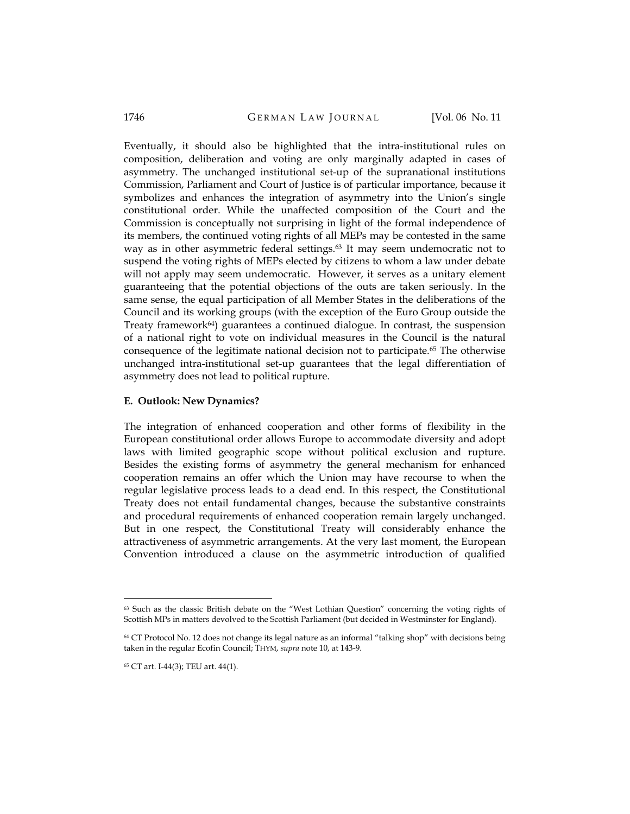Eventually, it should also be highlighted that the intra-institutional rules on composition, deliberation and voting are only marginally adapted in cases of asymmetry. The unchanged institutional set-up of the supranational institutions Commission, Parliament and Court of Justice is of particular importance, because it symbolizes and enhances the integration of asymmetry into the Union's single constitutional order. While the unaffected composition of the Court and the Commission is conceptually not surprising in light of the formal independence of its members, the continued voting rights of all MEPs may be contested in the same way as in other asymmetric federal settings.<sup>63</sup> It may seem undemocratic not to suspend the voting rights of MEPs elected by citizens to whom a law under debate will not apply may seem undemocratic. However, it serves as a unitary element guaranteeing that the potential objections of the outs are taken seriously. In the same sense, the equal participation of all Member States in the deliberations of the Council and its working groups (with the exception of the Euro Group outside the Treaty framework64) guarantees a continued dialogue. In contrast, the suspension of a national right to vote on individual measures in the Council is the natural consequence of the legitimate national decision not to participate.<sup>65</sup> The otherwise unchanged intra-institutional set-up guarantees that the legal differentiation of asymmetry does not lead to political rupture.

## **E. Outlook: New Dynamics?**

The integration of enhanced cooperation and other forms of flexibility in the European constitutional order allows Europe to accommodate diversity and adopt laws with limited geographic scope without political exclusion and rupture. Besides the existing forms of asymmetry the general mechanism for enhanced cooperation remains an offer which the Union may have recourse to when the regular legislative process leads to a dead end. In this respect, the Constitutional Treaty does not entail fundamental changes, because the substantive constraints and procedural requirements of enhanced cooperation remain largely unchanged. But in one respect, the Constitutional Treaty will considerably enhance the attractiveness of asymmetric arrangements. At the very last moment, the European Convention introduced a clause on the asymmetric introduction of qualified

<sup>&</sup>lt;sup>63</sup> Such as the classic British debate on the "West Lothian Question" concerning the voting rights of Scottish MPs in matters devolved to the Scottish Parliament (but decided in Westminster for England).

<sup>64</sup> CT Protocol No. 12 does not change its legal nature as an informal "talking shop" with decisions being taken in the regular Ecofin Council; THYM, *supra* note 10, at 143-9.

<sup>65</sup> CT art. I-44(3); TEU art. 44(1).